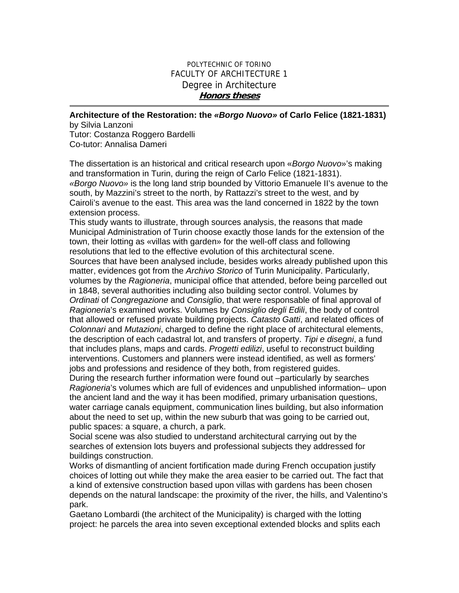## POLYTECHNIC OF TORINO FACULTY OF ARCHITECTURE 1 Degree in Architecture **Honors theses**

**Architecture of the Restoration: the** *«Borgo Nuovo»* **of Carlo Felice (1821-1831)** 

by Silvia Lanzoni Tutor: Costanza Roggero Bardelli Co-tutor: Annalisa Dameri

The dissertation is an historical and critical research upon «*Borgo Nuovo*»'s making and transformation in Turin, during the reign of Carlo Felice (1821-1831). *«Borgo Nuovo»* is the long land strip bounded by Vittorio Emanuele II's avenue to the south, by Mazzini's street to the north, by Rattazzi's street to the west, and by Cairoli's avenue to the east. This area was the land concerned in 1822 by the town extension process.

This study wants to illustrate, through sources analysis, the reasons that made Municipal Administration of Turin choose exactly those lands for the extension of the town, their lotting as «villas with garden» for the well-off class and following resolutions that led to the effective evolution of this architectural scene. Sources that have been analysed include, besides works already published upon this matter, evidences got from the *Archivo Storico* of Turin Municipality. Particularly, volumes by the *Ragioneria*, municipal office that attended, before being parcelled out in 1848, several authorities including also building sector control. Volumes by *Ordinati* of *Congregazione* and *Consiglio*, that were responsable of final approval of *Ragioneria*'s examined works. Volumes by *Consiglio degli Edili*, the body of control that allowed or refused private building projects. *Catasto Gatti*, and related offices of *Colonnari* and *Mutazioni*, charged to define the right place of architectural elements, the description of each cadastral lot, and transfers of property. *Tipi e disegni*, a fund that includes plans, maps and cards. *Progetti edilizi*, useful to reconstruct building interventions. Customers and planners were instead identified, as well as formers' jobs and professions and residence of they both, from registered guides. During the research further information were found out –particularly by searches

*Ragioneria*'s volumes which are full of evidences and unpublished information– upon the ancient land and the way it has been modified, primary urbanisation questions, water carriage canals equipment, communication lines building, but also information about the need to set up, within the new suburb that was going to be carried out, public spaces: a square, a church, a park.

Social scene was also studied to understand architectural carrying out by the searches of extension lots buyers and professional subjects they addressed for buildings construction.

Works of dismantling of ancient fortification made during French occupation justify choices of lotting out while they make the area easier to be carried out. The fact that a kind of extensive construction based upon villas with gardens has been chosen depends on the natural landscape: the proximity of the river, the hills, and Valentino's park.

Gaetano Lombardi (the architect of the Municipality) is charged with the lotting project: he parcels the area into seven exceptional extended blocks and splits each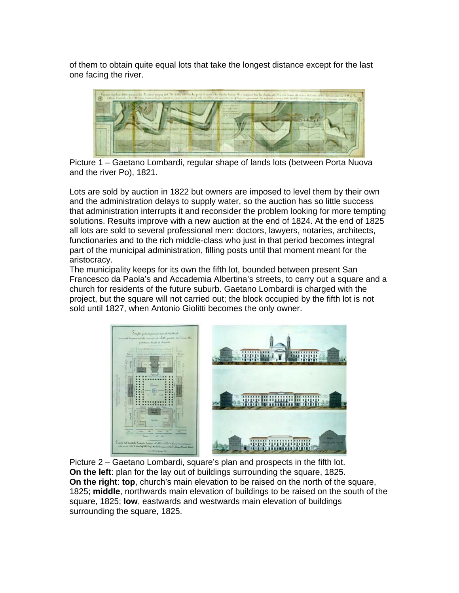of them to obtain quite equal lots that take the longest distance except for the last one facing the river.



Picture 1 – Gaetano Lombardi, regular shape of lands lots (between Porta Nuova and the river Po), 1821.

Lots are sold by auction in 1822 but owners are imposed to level them by their own and the administration delays to supply water, so the auction has so little success that administration interrupts it and reconsider the problem looking for more tempting solutions. Results improve with a new auction at the end of 1824. At the end of 1825 all lots are sold to several professional men: doctors, lawyers, notaries, architects, functionaries and to the rich middle-class who just in that period becomes integral part of the municipal administration, filling posts until that moment meant for the aristocracy.

The municipality keeps for its own the fifth lot, bounded between present San Francesco da Paola's and Accademia Albertina's streets, to carry out a square and a church for residents of the future suburb. Gaetano Lombardi is charged with the project, but the square will not carried out; the block occupied by the fifth lot is not sold until 1827, when Antonio Giolitti becomes the only owner.



Picture 2 – Gaetano Lombardi, square's plan and prospects in the fifth lot. **On the left**: plan for the lay out of buildings surrounding the square, 1825. **On the right**: **top**, church's main elevation to be raised on the north of the square, 1825; **middle**, northwards main elevation of buildings to be raised on the south of the square, 1825; **low**, eastwards and westwards main elevation of buildings surrounding the square, 1825.